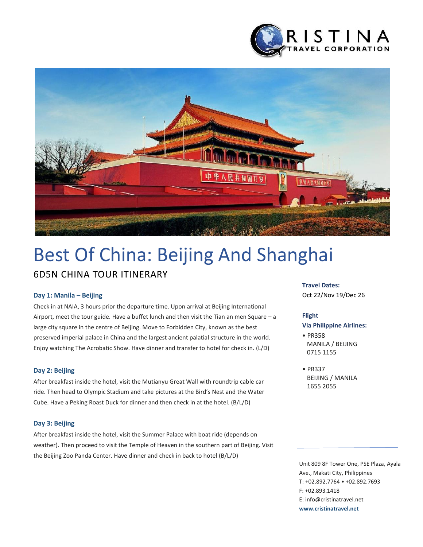



# 6D5N CHINA TOUR ITINERARY Best Of China: Beijing And Shanghai

#### **Day 1: Manila – Beijing**

Check in at NAIA, 3 hours prior the departure time. Upon arrival at Beijing International Airport, meet the tour guide. Have a buffet lunch and then visit the Tian an men Square – a large city square in the centre of Beijing. Move to Forbidden City, known as the best preserved imperial palace in China and the largest ancient palatial structure in the world. Enjoy watching The Acrobatic Show. Have dinner and transfer to hotel for check in. (L/D)

#### **Day 2: Beijing**

After breakfast inside the hotel, visit the Mutianyu Great Wall with roundtrip cable car ride. Then head to Olympic Stadium and take pictures at the Bird's Nest and the Water Cube. Have a Peking Roast Duck for dinner and then check in at the hotel. (B/L/D)

#### **Day 3: Beijing**

After breakfast inside the hotel, visit the Summer Palace with boat ride (depends on weather). Then proceed to visit the Temple of Heaven in the southern part of Beijing. Visit the Beijing Zoo Panda Center. Have dinner and check in back to hotel (B/L/D)

#### **Travel Dates:**

Oct 22/Nov 19/Dec 26

#### **Flight**

#### **Via Philippine Airlines:**

- PR358 MANILA / BEIJING 0715 1155
- PR337 BEIJING / MANILA 1655 2055

Unit 809 8F Tower One, PSE Plaza, Ayala Ave., Makati City, Philippines T: +02.892.7764 • +02.892.7693 F: +02.893.1418 E: info@cristinatravel.net **www.cristinatravel.net**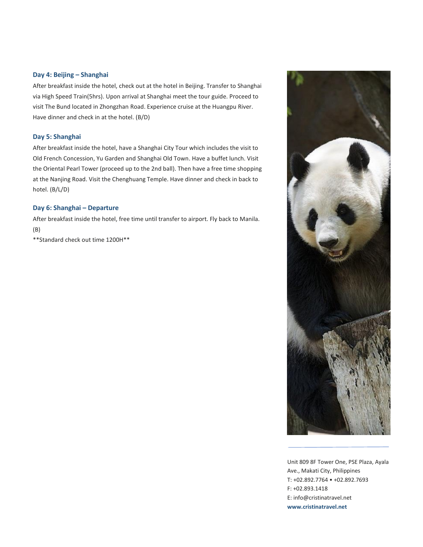#### **Day 4: Beijing – Shanghai**

After breakfast inside the hotel, check out at the hotel in Beijing. Transfer to Shanghai via High Speed Train(5hrs). Upon arrival at Shanghai meet the tour guide. Proceed to visit The Bund located in Zhongzhan Road. Experience cruise at the Huangpu River. Have dinner and check in at the hotel. (B/D)

#### **Day 5: Shanghai**

After breakfast inside the hotel, have a Shanghai City Tour which includes the visit to Old French Concession, Yu Garden and Shanghai Old Town. Have a buffet lunch. Visit the Oriental Pearl Tower (proceed up to the 2nd ball). Then have a free time shopping at the Nanjing Road. Visit the Chenghuang Temple. Have dinner and check in back to hotel. (B/L/D)

#### **Day 6: Shanghai – Departure**

After breakfast inside the hotel, free time until transfer to airport. Fly back to Manila. (B)

\*\*Standard check out time 1200H\*\*



Unit 809 8F Tower One, PSE Plaza, Ayala Ave., Makati City, Philippines T: +02.892.7764 • +02.892.7693 F: +02.893.1418 E: info@cristinatravel.net **www.cristinatravel.net**